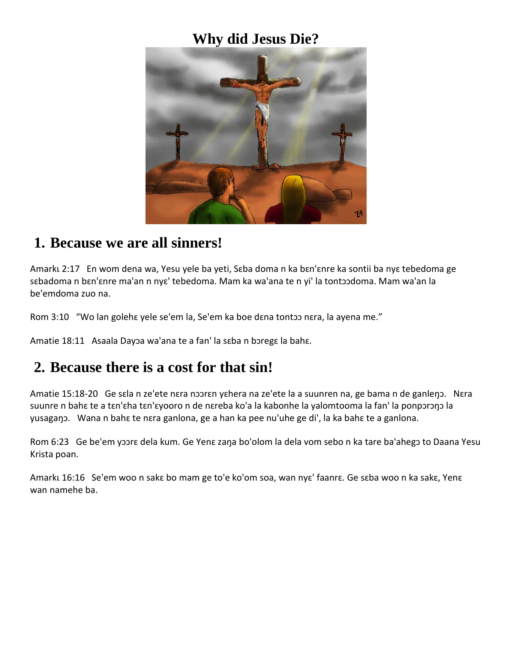## **Why did Jesus Die?**



#### **1. Because we are all sinners!**

Amarku 2:17 En wom dena wa, Yesu yele ba yeti, Sɛba doma n ka bɛn'ɛnre ka sontii ba nyɛ tebedoma ge sɛbadoma n bɛn'ɛnre ma'an n nyɛ' tebedoma. Mam ka wa'ana te n yi' la tontɔɔdoma. Mam wa'an la be'emdoma zuo na.

Rom 3:10 "Wo lan goleha yele se'em la, Se'em ka boe dana tontoo nara, la ayena me."

Amatie 18:11 Asaala Dayɔa wa'ana te a fan' la sɛba n bɔregɛ la bahɛ.

### **2. Because there is a cost for that sin!**

Amatie 15:18-20 Ge sɛla n ze'ete nɛra nɔɔrɛn yɛhera na ze'ete la a suunren na, ge bama n de ganleŋɔ. Nɛra suunre n bahɛ te a tɛn'ɛha tɛn'ɛyooro n de nɛreba ko'a la kabonhe la yalomtooma la fan' la ponpɔrɔŋɔ la yusagaŋɔ. Wana n bahɛ te nɛra ganlona, ge a han ka pee nu'uhe ge di', la ka bahɛ te a ganlona.

Rom 6:23 Ge be'em yɔɔrɛ dela kum. Ge Yenɛ zaŋa bo'olom la dela vom sebo n ka tare ba'ahegɔ to Daana Yesu Krista poan.

Amarkɩ 16:16 Se'em woo n sakɛ bo mam ge to'e ko'om soa, wan nyɛ' faanrɛ. Ge sɛba woo n ka sakɛ, Yenɛ wan namehe ba.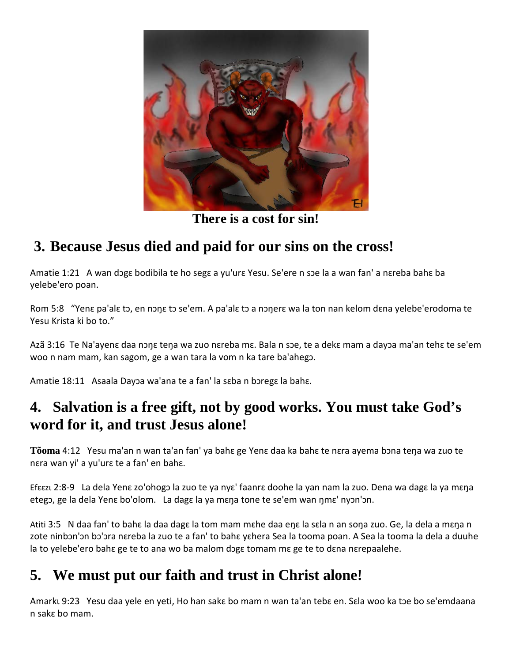

**There is a cost for sin!**

## **3. Because Jesus died and paid for our sins on the cross!**

Amatie 1:21 A wan dɔgɛ bodibila te ho segɛ a yu'urɛ Yesu. Se'ere n sɔe la a wan fan' a nɛreba bahɛ ba yelebe'ero poan.

Rom 5:8 "Yenɛ pa'alɛ tɔ, en nɔŋɛ tɔ se'em. A pa'alɛ tɔ a nɔŋerɛ wa la ton nan kelom dɛna yelebe'erodoma te Yesu Krista ki bo to."

Azã 3:16 Te Na'ayenɛ daa nɔŋɛ teŋa wa zuo nɛreba mɛ. Bala n sɔe, te a dekɛ mam a dayɔa ma'an tehɛ te se'em woo n nam mam, kan sagom, ge a wan tara la vom n ka tare ba'ahegɔ.

Amatie 18:11 Asaala Dayɔa wa'ana te a fan' la sɛba n bɔregɛ la bahɛ.

## **4. Salvation is a free gift, not by good works. You must take God's word for it, and trust Jesus alone!**

**Tõoma** 4:12 Yesu ma'an n wan ta'an fan' ya bahɛ ge Yenɛ daa ka bahɛ te nɛra ayema bɔna teŋa wa zuo te nɛra wan yi' a yu'urɛ te a fan' en bahɛ.

Efɛɛzɩ 2:8-9 La dela Yenɛ zo'ohogɔ la zuo te ya nyɛ' faanrɛ doohe la yan nam la zuo. Dena wa dagɛ la ya mɛŋa etegɔ, ge la dela Yenɛ bo'olom. La dagɛ la ya mɛŋa tone te se'em wan ŋmɛ' nyɔn'ɔn.

Atiti 3:5 N daa fan' to bahɛ la daa dagɛ la tom mam mɛhe daa eŋɛ la sɛla n an soŋa zuo. Ge, la dela a mɛŋa n zote ninbon'on bo'ora nɛreba la zuo te a fan' to bahɛ yɛhera Sea la tooma poan. A Sea la tooma la dela a duuhe la to yelebe'ero baha ge te to ana wo ba malom doga tomam ma ge te to dana narepaalehe.

# **5. We must put our faith and trust in Christ alone!**

Amarku 9:23 Yesu daa yele en yeti, Ho han saka bo mam n wan ta'an teba en. Sala woo ka toe bo se'emdaana n sakɛ bo mam.